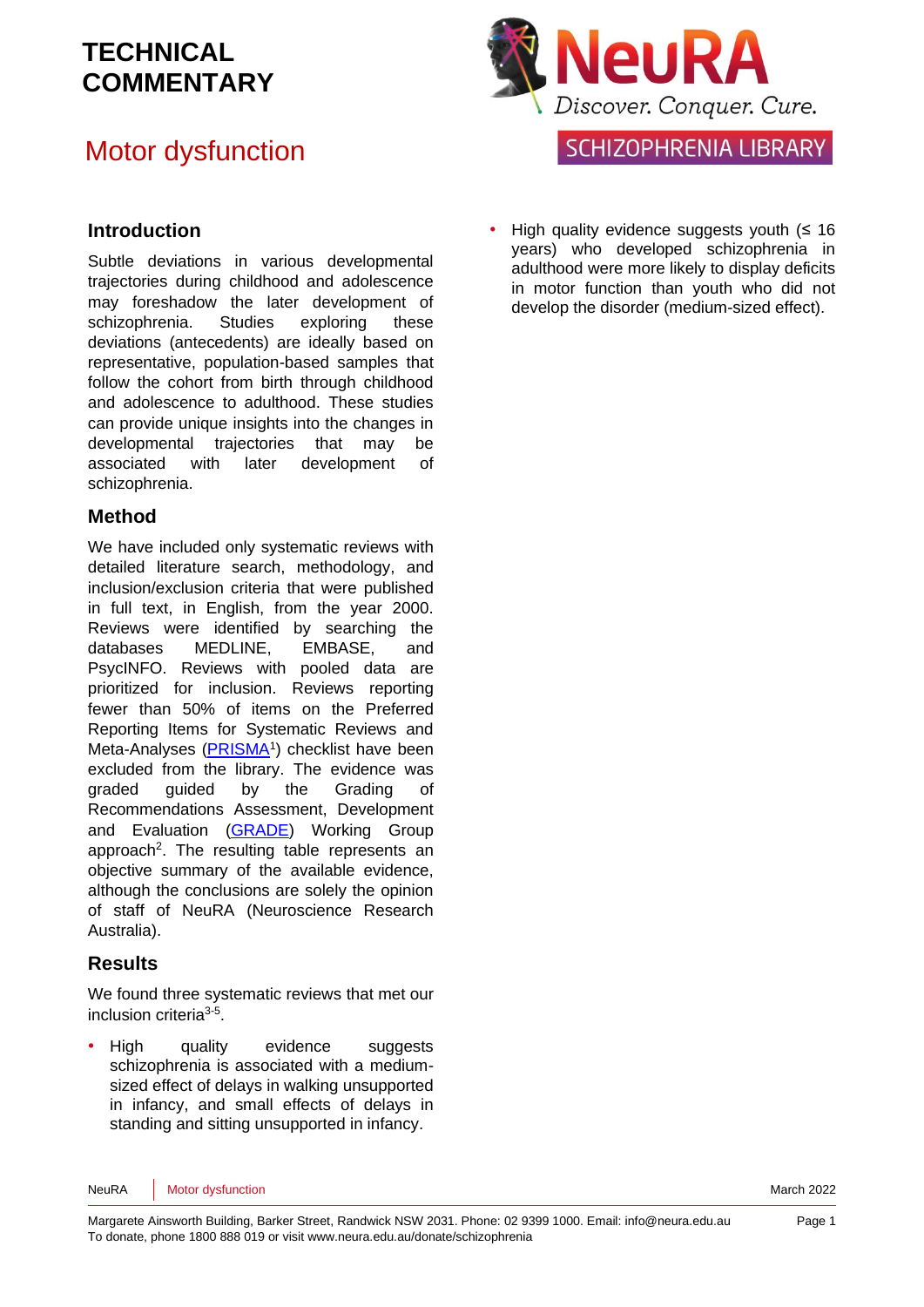## Motor dysfunction

#### **Introduction**

Subtle deviations in various developmental trajectories during childhood and adolescence may foreshadow the later development of schizophrenia. Studies exploring these deviations (antecedents) are ideally based on representative, population-based samples that follow the cohort from birth through childhood and adolescence to adulthood. These studies can provide unique insights into the changes in developmental trajectories that may be associated with later development of schizophrenia.

#### **Method**

We have included only systematic reviews with detailed literature search, methodology, and inclusion/exclusion criteria that were published in full text, in English, from the year 2000. Reviews were identified by searching the databases MEDLINE, EMBASE, and PsycINFO. Reviews with pooled data are prioritized for inclusion. Reviews reporting fewer than 50% of items on the Preferred Reporting Items for Systematic Reviews and Meta-Analyses [\(PRISMA](http://www.prisma-statement.org/)<sup>[1](#page-7-0)</sup>) checklist have been excluded from the library. The evidence was graded guided by the Grading of Recommendations Assessment, Development and Evaluation [\(GRADE\)](http://www.gradeworkinggroup.org/) Working Group approach<sup>2</sup>[.](#page-7-1) The resulting table represents an objective summary of the available evidence, although the conclusions are solely the opinion of staff of NeuRA (Neuroscience Research Australia).

#### **Results**

We found three systematic reviews that met our inclusion criteria<sup>[3-5](#page-7-2)</sup>.

• High quality evidence suggests schizophrenia is associated with a mediumsized effect of delays in walking unsupported in infancy, and small effects of delays in standing and sitting unsupported in infancy.



High quality evidence suggests youth  $(≤ 16)$ years) who developed schizophrenia in adulthood were more likely to display deficits in motor function than youth who did not develop the disorder (medium-sized effect).

NeuRA Motor dysfunction March 2022 **March 2022**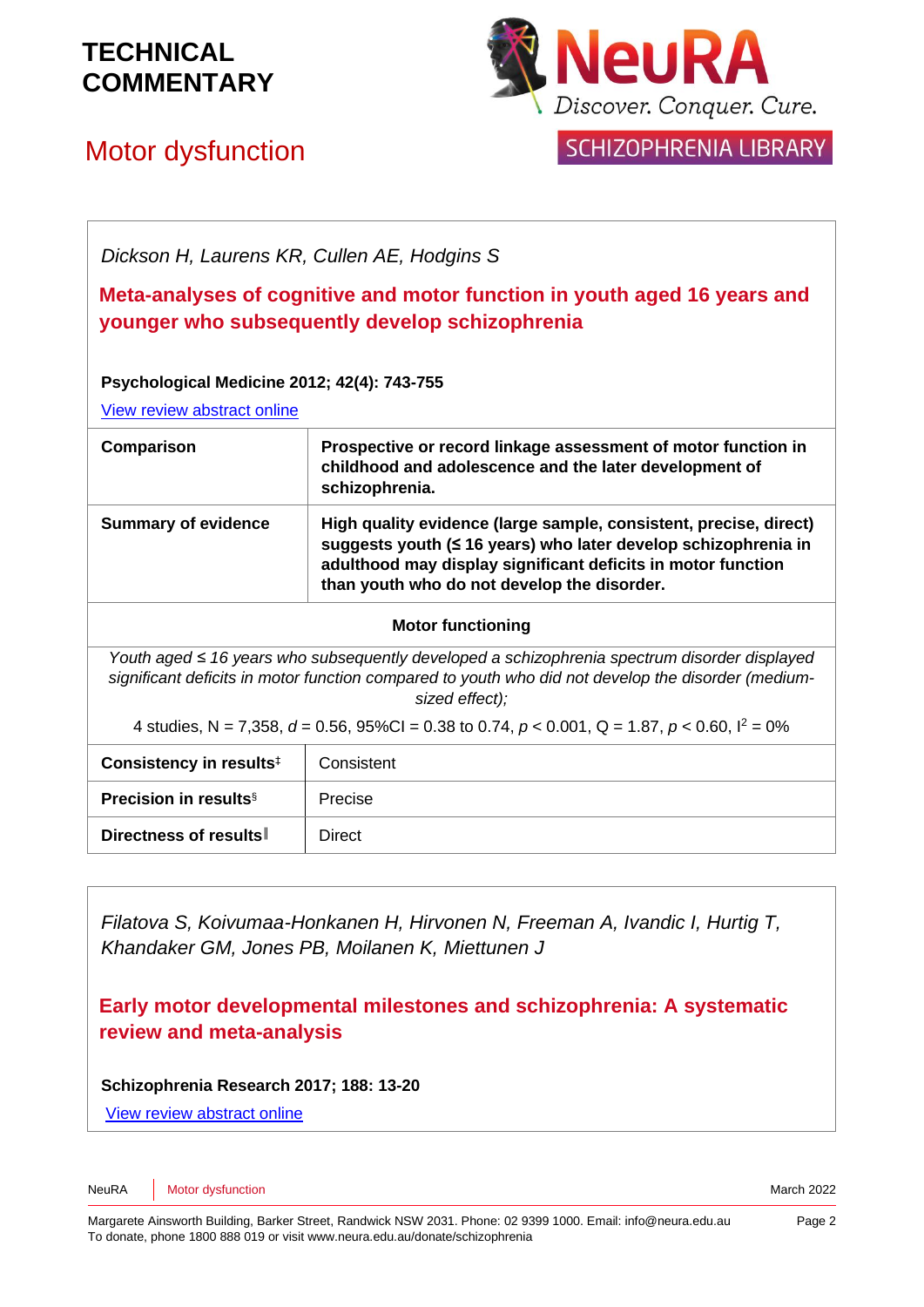

## Motor dysfunction



### SCHIZOPHRENIA LIBRARY

*Dickson H, Laurens KR, Cullen AE, Hodgins S*

**Meta-analyses of cognitive and motor function in youth aged 16 years and younger who subsequently develop schizophrenia**

**Psychological Medicine 2012; 42(4): 743-755**

[View review abstract online](http://www.ncbi.nlm.nih.gov/pubmed/21896236?dopt=Abstract) 

| Comparison                 | Prospective or record linkage assessment of motor function in<br>childhood and adolescence and the later development of<br>schizophrenia.                                                                                                          |
|----------------------------|----------------------------------------------------------------------------------------------------------------------------------------------------------------------------------------------------------------------------------------------------|
| <b>Summary of evidence</b> | High quality evidence (large sample, consistent, precise, direct)<br>suggests youth (≤ 16 years) who later develop schizophrenia in<br>adulthood may display significant deficits in motor function<br>than youth who do not develop the disorder. |

#### **Motor functioning**

*Youth aged ≤ 16 years who subsequently developed a schizophrenia spectrum disorder displayed significant deficits in motor function compared to youth who did not develop the disorder (mediumsized effect);*

4 studies, N = 7,358, *d* = 0.56, 95%CI = 0.38 to 0.74, *p* < 0.001, Q = 1.87, *p* < 0.60, I<sup>2</sup> = 0%

| Consistency in results <sup>‡</sup> | Consistent |
|-------------------------------------|------------|
| <b>Precision in results</b> §       | Precise    |
| Directness of results               | Direct     |

*Filatova S, Koivumaa-Honkanen H, Hirvonen N, Freeman A, Ivandic I, Hurtig T, Khandaker GM, Jones PB, Moilanen K, Miettunen J*

**Early motor developmental milestones and schizophrenia: A systematic review and meta-analysis** 

**Schizophrenia Research 2017; 188: 13-20**

[View review abstract online](https://www.ncbi.nlm.nih.gov/pubmed/28131598)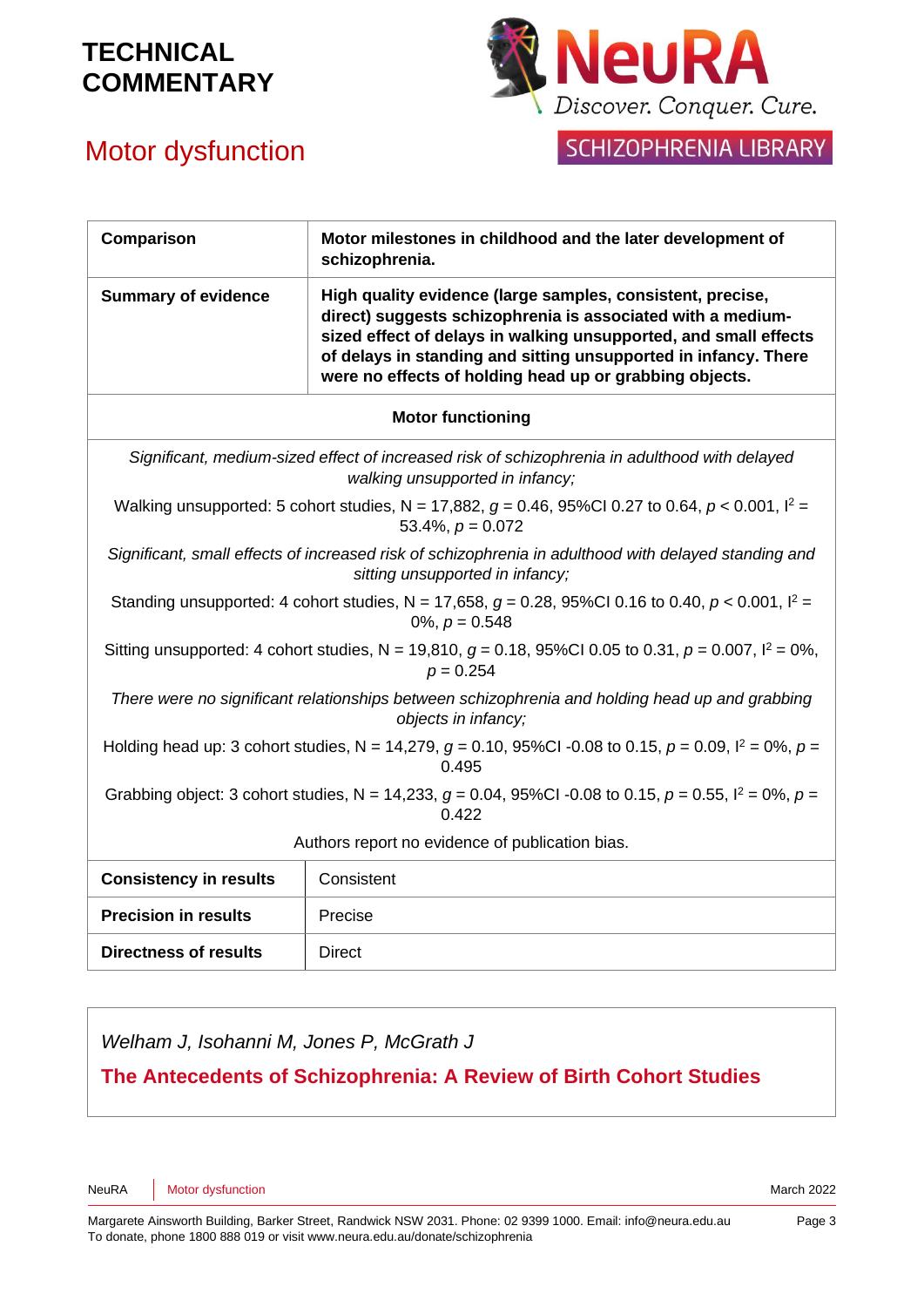



| Comparison                                                                                                                              | Motor milestones in childhood and the later development of<br>schizophrenia.                                                                                                                                                                                                                                                |  |
|-----------------------------------------------------------------------------------------------------------------------------------------|-----------------------------------------------------------------------------------------------------------------------------------------------------------------------------------------------------------------------------------------------------------------------------------------------------------------------------|--|
| <b>Summary of evidence</b>                                                                                                              | High quality evidence (large samples, consistent, precise,<br>direct) suggests schizophrenia is associated with a medium-<br>sized effect of delays in walking unsupported, and small effects<br>of delays in standing and sitting unsupported in infancy. There<br>were no effects of holding head up or grabbing objects. |  |
| <b>Motor functioning</b>                                                                                                                |                                                                                                                                                                                                                                                                                                                             |  |
| Significant, medium-sized effect of increased risk of schizophrenia in adulthood with delayed<br>walking unsupported in infancy;        |                                                                                                                                                                                                                                                                                                                             |  |
| Walking unsupported: 5 cohort studies, N = 17,882, $g = 0.46$ , 95%Cl 0.27 to 0.64, $p < 0.001$ , $l^2 =$<br>53.4%, $p = 0.072$         |                                                                                                                                                                                                                                                                                                                             |  |
| Significant, small effects of increased risk of schizophrenia in adulthood with delayed standing and<br>sitting unsupported in infancy; |                                                                                                                                                                                                                                                                                                                             |  |
| Standing unsupported: 4 cohort studies, N = 17,658, $g = 0.28$ , 95%Cl 0.16 to 0.40, $p < 0.001$ , $l^2 =$<br>0%, $p = 0.548$           |                                                                                                                                                                                                                                                                                                                             |  |
| Sitting unsupported: 4 cohort studies, N = 19,810, $g = 0.18$ , 95%Cl 0.05 to 0.31, $p = 0.007$ , $l^2 = 0\%$ ,<br>$p = 0.254$          |                                                                                                                                                                                                                                                                                                                             |  |
| There were no significant relationships between schizophrenia and holding head up and grabbing<br>objects in infancy;                   |                                                                                                                                                                                                                                                                                                                             |  |
| Holding head up: 3 cohort studies, N = 14,279, $g = 0.10$ , 95%Cl -0.08 to 0.15, $p = 0.09$ , $l^2 = 0$ %, $p =$<br>0.495               |                                                                                                                                                                                                                                                                                                                             |  |
| Grabbing object: 3 cohort studies, N = 14,233, $g = 0.04$ , 95%Cl -0.08 to 0.15, $p = 0.55$ , $l^2 = 0$ %, $p =$<br>0.422               |                                                                                                                                                                                                                                                                                                                             |  |
| Authors report no evidence of publication bias.                                                                                         |                                                                                                                                                                                                                                                                                                                             |  |
| <b>Consistency in results</b>                                                                                                           | Consistent                                                                                                                                                                                                                                                                                                                  |  |
| <b>Precision in results</b>                                                                                                             | Precise                                                                                                                                                                                                                                                                                                                     |  |
| <b>Directness of results</b>                                                                                                            | <b>Direct</b>                                                                                                                                                                                                                                                                                                               |  |

*Welham J, Isohanni M, Jones P, McGrath J*

**The Antecedents of Schizophrenia: A Review of Birth Cohort Studies**

NeuRA Motor dysfunction March 2022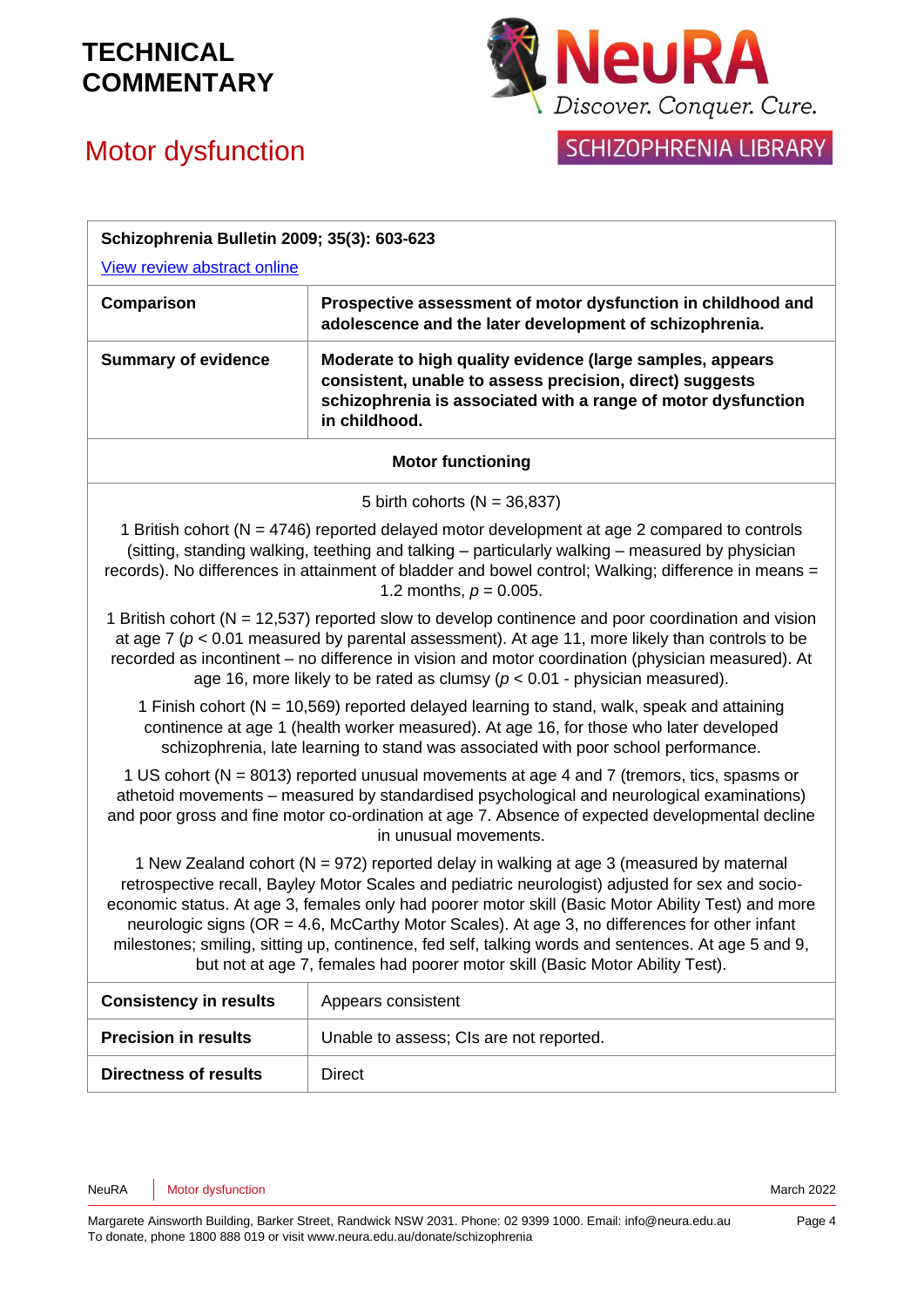# Motor dysfunction



### SCHIZOPHRENIA LIBRARY

| Schizophrenia Bulletin 2009; 35(3): 603-623                                                                                                                                                                                                                                                                                                                                                                                                                                                                                                                                               |                                                                                                                                                                                                         |  |
|-------------------------------------------------------------------------------------------------------------------------------------------------------------------------------------------------------------------------------------------------------------------------------------------------------------------------------------------------------------------------------------------------------------------------------------------------------------------------------------------------------------------------------------------------------------------------------------------|---------------------------------------------------------------------------------------------------------------------------------------------------------------------------------------------------------|--|
| View review abstract online                                                                                                                                                                                                                                                                                                                                                                                                                                                                                                                                                               |                                                                                                                                                                                                         |  |
| Comparison                                                                                                                                                                                                                                                                                                                                                                                                                                                                                                                                                                                | Prospective assessment of motor dysfunction in childhood and<br>adolescence and the later development of schizophrenia.                                                                                 |  |
| <b>Summary of evidence</b>                                                                                                                                                                                                                                                                                                                                                                                                                                                                                                                                                                | Moderate to high quality evidence (large samples, appears<br>consistent, unable to assess precision, direct) suggests<br>schizophrenia is associated with a range of motor dysfunction<br>in childhood. |  |
| <b>Motor functioning</b>                                                                                                                                                                                                                                                                                                                                                                                                                                                                                                                                                                  |                                                                                                                                                                                                         |  |
| 5 birth cohorts ( $N = 36,837$ )                                                                                                                                                                                                                                                                                                                                                                                                                                                                                                                                                          |                                                                                                                                                                                                         |  |
| 1 British cohort (N = 4746) reported delayed motor development at age 2 compared to controls<br>(sitting, standing walking, teething and talking – particularly walking – measured by physician<br>records). No differences in attainment of bladder and bowel control; Walking; difference in means =<br>1.2 months, $p = 0.005$ .                                                                                                                                                                                                                                                       |                                                                                                                                                                                                         |  |
| 1 British cohort (N = 12,537) reported slow to develop continence and poor coordination and vision<br>at age 7 ( $p < 0.01$ measured by parental assessment). At age 11, more likely than controls to be<br>recorded as incontinent – no difference in vision and motor coordination (physician measured). At<br>age 16, more likely to be rated as clumsy ( $p < 0.01$ - physician measured).                                                                                                                                                                                            |                                                                                                                                                                                                         |  |
| 1 Finish cohort (N = 10,569) reported delayed learning to stand, walk, speak and attaining<br>continence at age 1 (health worker measured). At age 16, for those who later developed<br>schizophrenia, late learning to stand was associated with poor school performance.                                                                                                                                                                                                                                                                                                                |                                                                                                                                                                                                         |  |
| 1 US cohort (N = 8013) reported unusual movements at age 4 and 7 (tremors, tics, spasms or<br>athetoid movements - measured by standardised psychological and neurological examinations)<br>and poor gross and fine motor co-ordination at age 7. Absence of expected developmental decline<br>in unusual movements.                                                                                                                                                                                                                                                                      |                                                                                                                                                                                                         |  |
| 1 New Zealand cohort (N = 972) reported delay in walking at age 3 (measured by maternal<br>retrospective recall, Bayley Motor Scales and pediatric neurologist) adjusted for sex and socio-<br>economic status. At age 3, females only had poorer motor skill (Basic Motor Ability Test) and more<br>neurologic signs (OR = 4.6, McCarthy Motor Scales). At age 3, no differences for other infant<br>milestones; smiling, sitting up, continence, fed self, talking words and sentences. At age 5 and 9,<br>but not at age 7, females had poorer motor skill (Basic Motor Ability Test). |                                                                                                                                                                                                         |  |
| <b>Consistency in results</b>                                                                                                                                                                                                                                                                                                                                                                                                                                                                                                                                                             | Appears consistent                                                                                                                                                                                      |  |
| <b>Precision in results</b>                                                                                                                                                                                                                                                                                                                                                                                                                                                                                                                                                               | Unable to assess; CIs are not reported.                                                                                                                                                                 |  |
| <b>Directness of results</b>                                                                                                                                                                                                                                                                                                                                                                                                                                                                                                                                                              | <b>Direct</b>                                                                                                                                                                                           |  |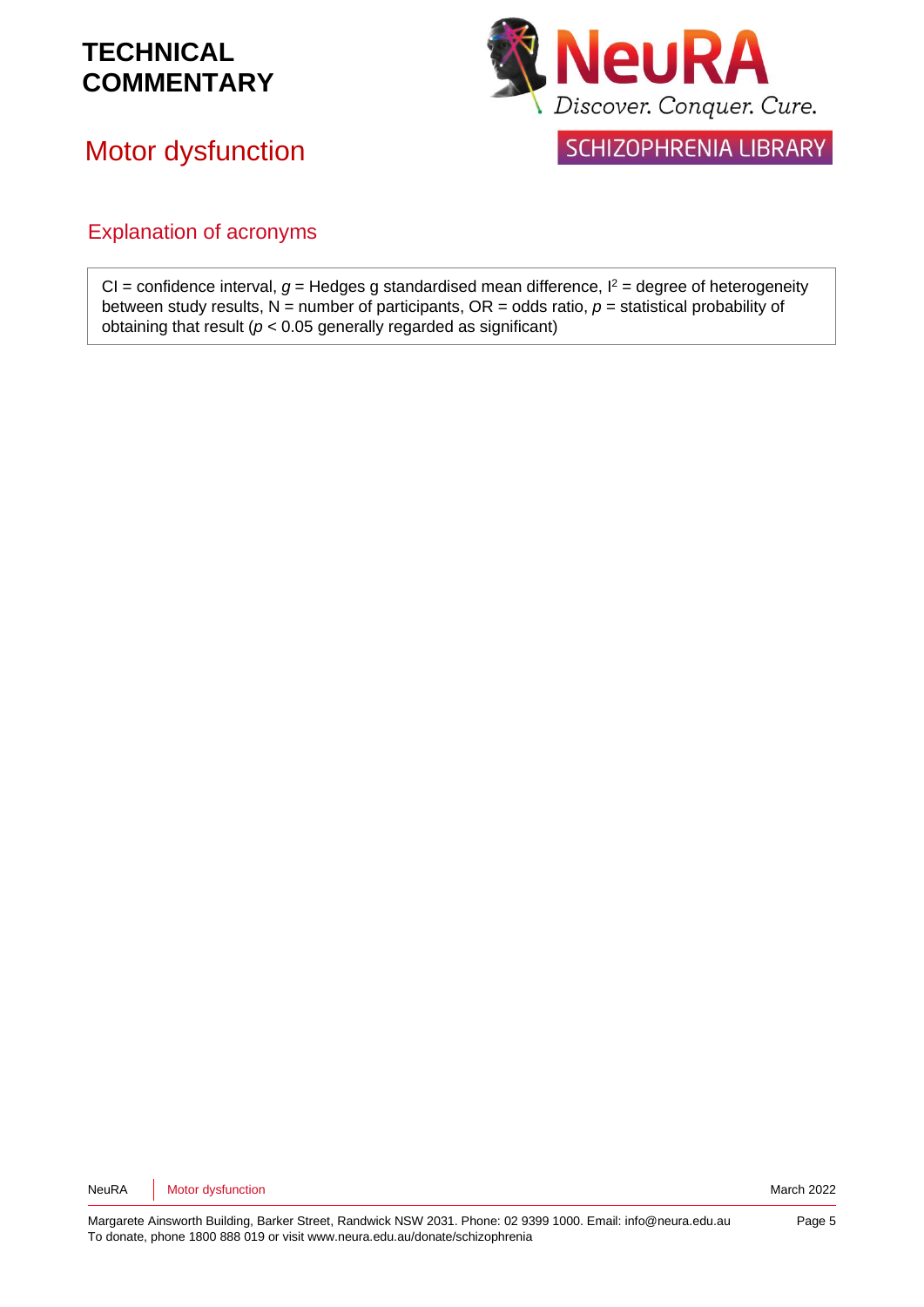## Motor dysfunction



SCHIZOPHRENIA LIBRARY

### Explanation of acronyms

CI = confidence interval,  $g$  = Hedges g standardised mean difference,  $l^2$  = degree of heterogeneity between study results,  $N =$  number of participants,  $OR =$  odds ratio,  $p =$  statistical probability of obtaining that result (*p* < 0.05 generally regarded as significant)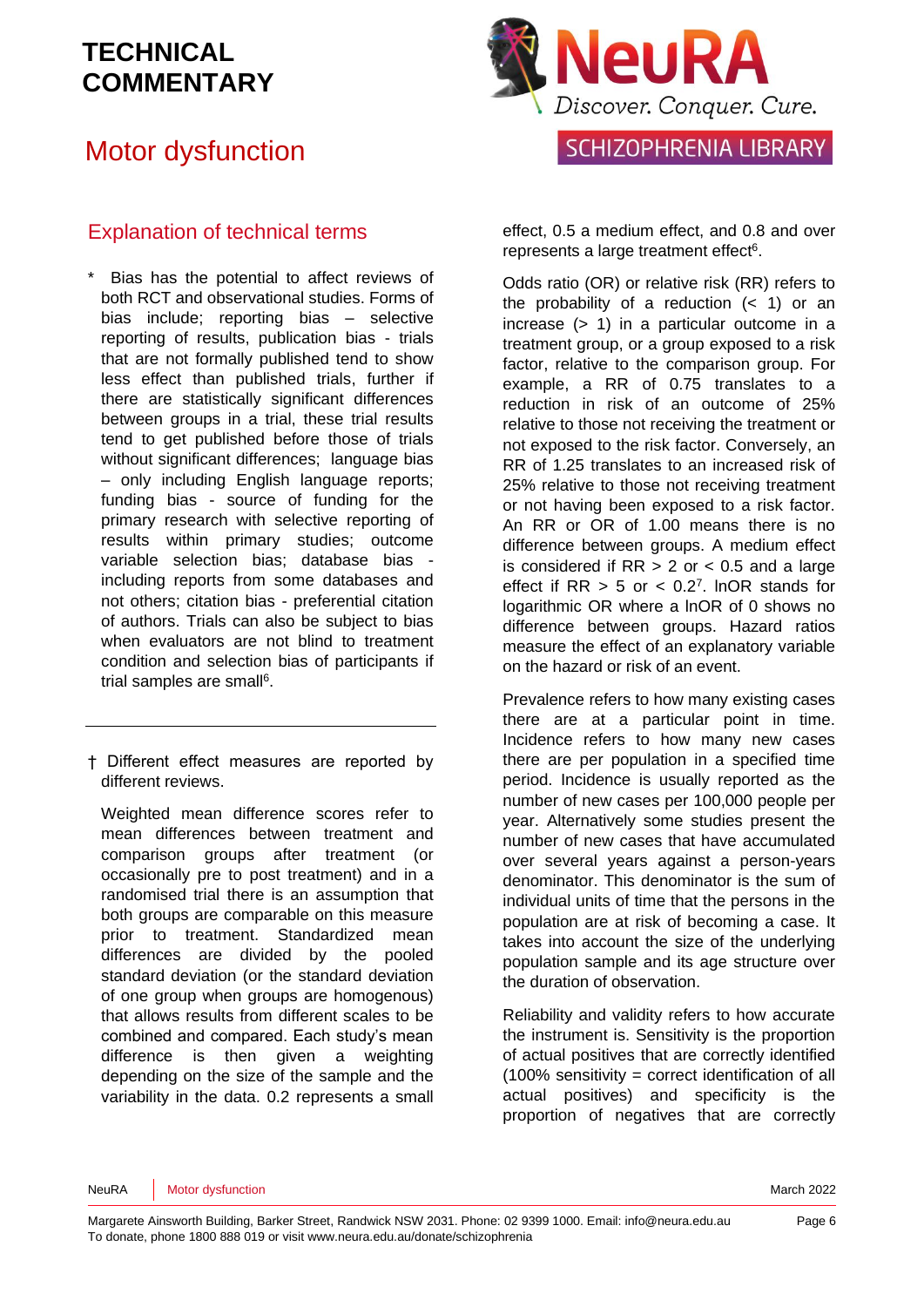## Motor dysfunction

### Explanation of technical terms

- Bias has the potential to affect reviews of both RCT and observational studies. Forms of bias include; reporting bias – selective reporting of results, publication bias - trials that are not formally published tend to show less effect than published trials, further if there are statistically significant differences between groups in a trial, these trial results tend to get published before those of trials without significant differences; language bias – only including English language reports; funding bias - source of funding for the primary research with selective reporting of results within primary studies; outcome variable selection bias; database bias including reports from some databases and not others; citation bias - preferential citation of authors. Trials can also be subject to bias when evaluators are not blind to treatment condition and selection bias of participants if trial samples are sma[ll](#page-7-3)<sup>6</sup>.
- † Different effect measures are reported by different reviews.

Weighted mean difference scores refer to mean differences between treatment and comparison groups after treatment (or occasionally pre to post treatment) and in a randomised trial there is an assumption that both groups are comparable on this measure prior to treatment. Standardized mean differences are divided by the pooled standard deviation (or the standard deviation of one group when groups are homogenous) that allows results from different scales to be combined and compared. Each study's mean difference is then given a weighting depending on the size of the sample and the variability in the data. 0.2 represents a small



SCHIZOPHRENIA LIBRARY

effect, 0.5 a medium effect, and 0.8 and over represen[t](#page-7-3)s a large treatment effect<sup>6</sup>.

Odds ratio (OR) or relative risk (RR) refers to the probability of a reduction  $($   $<$  1) or an increase  $(> 1)$  in a particular outcome in a treatment group, or a group exposed to a risk factor, relative to the comparison group. For example, a RR of 0.75 translates to a reduction in risk of an outcome of 25% relative to those not receiving the treatment or not exposed to the risk factor. Conversely, an RR of 1.25 translates to an increased risk of 25% relative to those not receiving treatment or not having been exposed to a risk factor. An RR or OR of 1.00 means there is no difference between groups. A medium effect is considered if  $RR > 2$  or  $< 0.5$  and a large effect if  $RR > 5$  or  $< 0.2<sup>7</sup>$  $< 0.2<sup>7</sup>$  $< 0.2<sup>7</sup>$ . InOR stands for logarithmic OR where a lnOR of 0 shows no difference between groups. Hazard ratios measure the effect of an explanatory variable on the hazard or risk of an event.

Prevalence refers to how many existing cases there are at a particular point in time. Incidence refers to how many new cases there are per population in a specified time period. Incidence is usually reported as the number of new cases per 100,000 people per year. Alternatively some studies present the number of new cases that have accumulated over several years against a person-years denominator. This denominator is the sum of individual units of time that the persons in the population are at risk of becoming a case. It takes into account the size of the underlying population sample and its age structure over the duration of observation.

Reliability and validity refers to how accurate the instrument is. Sensitivity is the proportion of actual positives that are correctly identified (100% sensitivity = correct identification of all actual positives) and specificity is the proportion of negatives that are correctly

NeuRA Motor dysfunction March 2022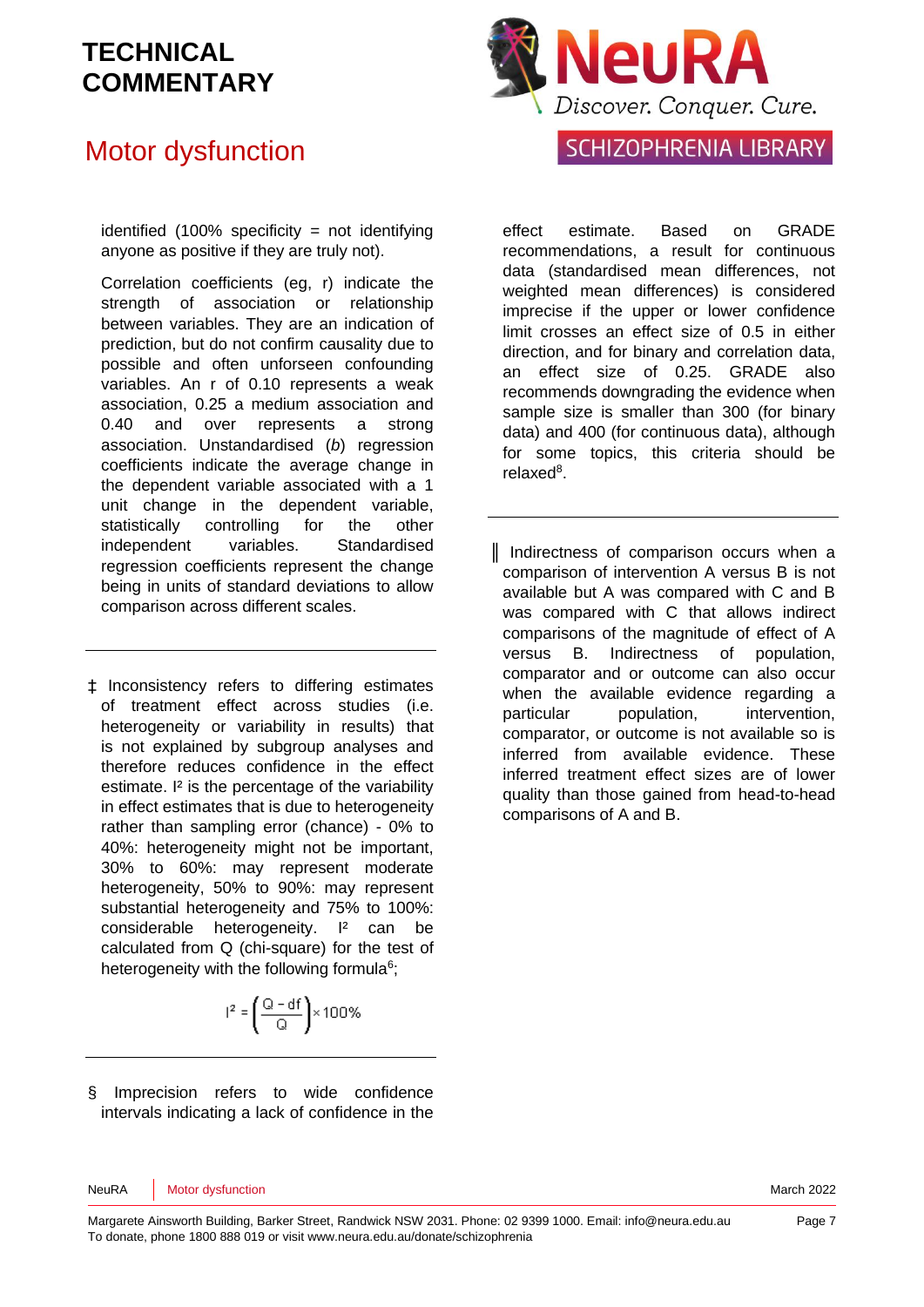## Motor dysfunction

identified (100% specificity = not identifying anyone as positive if they are truly not).

Correlation coefficients (eg, r) indicate the strength of association or relationship between variables. They are an indication of prediction, but do not confirm causality due to possible and often unforseen confounding variables. An r of 0.10 represents a weak association, 0.25 a medium association and 0.40 and over represents a strong association. Unstandardised (*b*) regression coefficients indicate the average change in the dependent variable associated with a 1 unit change in the dependent variable, statistically controlling for the other independent variables. Standardised regression coefficients represent the change being in units of standard deviations to allow comparison across different scales.

‡ Inconsistency refers to differing estimates of treatment effect across studies (i.e. heterogeneity or variability in results) that is not explained by subgroup analyses and therefore reduces confidence in the effect estimate. I<sup>2</sup> is the percentage of the variability in effect estimates that is due to heterogeneity rather than sampling error (chance) - 0% to 40%: heterogeneity might not be important, 30% to 60%: may represent moderate heterogeneity, 50% to 90%: may represent substantial heterogeneity and 75% to 100%: considerable heterogeneity. I² can be calculated from Q (chi-square) for the test of heterogeneity with the following formul[a](#page-7-3)<sup>6</sup>;

$$
I^2 = \left(\frac{Q - df}{Q}\right) \times 100\%
$$

§ Imprecision refers to wide confidence intervals indicating a lack of confidence in the



### SCHIZOPHRENIA LIBRARY

effect estimate. Based on GRADE recommendations, a result for continuous data (standardised mean differences, not weighted mean differences) is considered imprecise if the upper or lower confidence limit crosses an effect size of 0.5 in either direction, and for binary and correlation data, an effect size of 0.25. GRADE also recommends downgrading the evidence when sample size is smaller than 300 (for binary data) and 400 (for continuous data), although for some topics, this criteria should be relaxe[d](#page-7-5)<sup>8</sup>.

║ Indirectness of comparison occurs when a comparison of intervention A versus B is not available but A was compared with C and B was compared with C that allows indirect comparisons of the magnitude of effect of A versus B. Indirectness of population, comparator and or outcome can also occur when the available evidence regarding a particular population, intervention, comparator, or outcome is not available so is inferred from available evidence. These inferred treatment effect sizes are of lower quality than those gained from head-to-head comparisons of A and B.

NeuRA Motor dysfunction March 2022 **March 2022**